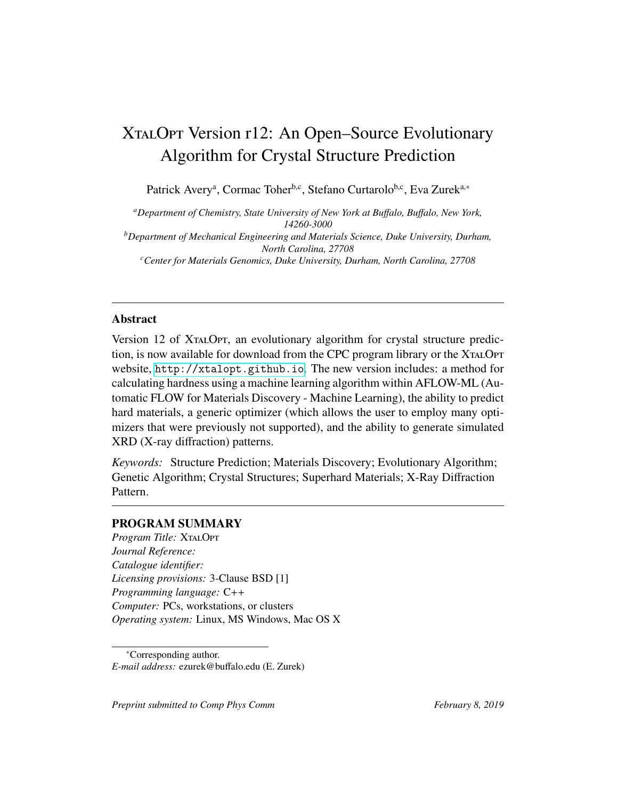# XTALOPT Version r12: An Open–Source Evolutionary Algorithm for Crystal Structure Prediction

Patrick Avery<sup>a</sup>, Cormac Toher<sup>b,c</sup>, Stefano Curtarolo<sup>b,c</sup>, Eva Zurek<sup>a,∗</sup>

*<sup>a</sup>Department of Chemistry, State University of New York at Bu*ff*alo, Bu*ff*alo, New York, 14260-3000 <sup>b</sup>Department of Mechanical Engineering and Materials Science, Duke University, Durham, North Carolina, 27708 <sup>c</sup>Center for Materials Genomics, Duke University, Durham, North Carolina, 27708*

## Abstract

Version 12 of XTALOPT, an evolutionary algorithm for crystal structure prediction, is now available for download from the CPC program library or the XtalOpt website, <http://xtalopt.github.io>. The new version includes: a method for calculating hardness using a machine learning algorithm within AFLOW-ML (Automatic FLOW for Materials Discovery - Machine Learning), the ability to predict hard materials, a generic optimizer (which allows the user to employ many optimizers that were previously not supported), and the ability to generate simulated XRD (X-ray diffraction) patterns.

*Keywords:* Structure Prediction; Materials Discovery; Evolutionary Algorithm; Genetic Algorithm; Crystal Structures; Superhard Materials; X-Ray Diffraction Pattern.

## PROGRAM SUMMARY

*Program Title: XTALOPT Journal Reference: Catalogue identifier: Licensing provisions:* 3-Clause BSD [1] *Programming language:* C++ *Computer:* PCs, workstations, or clusters *Operating system:* Linux, MS Windows, Mac OS X

<sup>∗</sup>Corresponding author. *E-mail address:* ezurek@buffalo.edu (E. Zurek)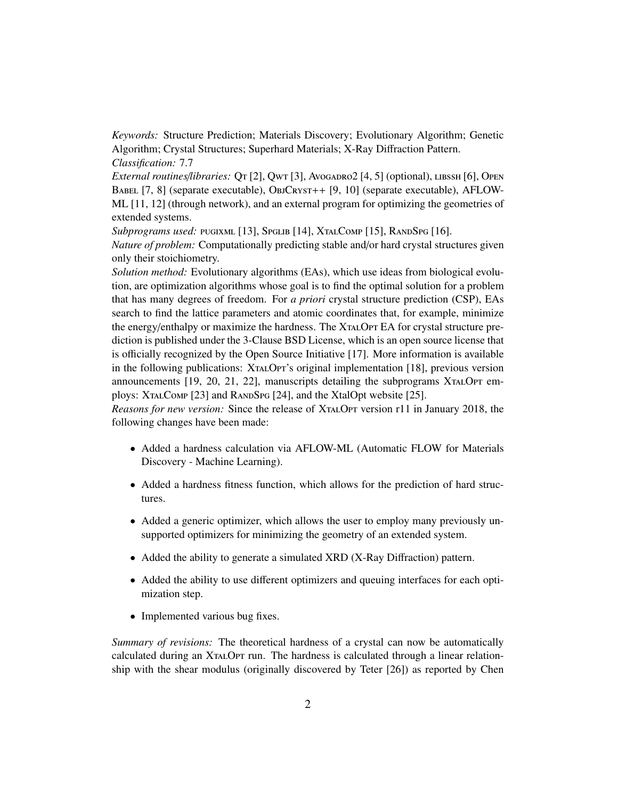*Keywords:* Structure Prediction; Materials Discovery; Evolutionary Algorithm; Genetic Algorithm; Crystal Structures; Superhard Materials; X-Ray Diffraction Pattern. *Classification:* 7.7

*External routines/libraries:* Qt [2], Qwt [3], Avogadro2 [4, 5] (optional), LIBSSH [6], OPEN BABEL [7, 8] (separate executable), ObjCRYST++ [9, 10] (separate executable), AFLOW-ML [11, 12] (through network), and an external program for optimizing the geometries of extended systems.

*Subprograms used:* PUGIXML [13], SPGLIB [14], XTALCOMP [15], RANDSPG [16]. *Nature of problem:* Computationally predicting stable and/or hard crystal structures given only their stoichiometry.

*Solution method:* Evolutionary algorithms (EAs), which use ideas from biological evolution, are optimization algorithms whose goal is to find the optimal solution for a problem that has many degrees of freedom. For *a priori* crystal structure prediction (CSP), EAs search to find the lattice parameters and atomic coordinates that, for example, minimize the energy/enthalpy or maximize the hardness. The XTALOPT EA for crystal structure prediction is published under the 3-Clause BSD License, which is an open source license that is officially recognized by the Open Source Initiative [17]. More information is available in the following publications: XTALOPT's original implementation [18], previous version announcements  $[19, 20, 21, 22]$ , manuscripts detailing the subprograms XTALOPT employs: XTALCOMP [23] and RANDSPG [24], and the XtalOpt website [25].

*Reasons for new version:* Since the release of XtalOpt version r11 in January 2018, the following changes have been made:

- Added a hardness calculation via AFLOW-ML (Automatic FLOW for Materials Discovery - Machine Learning).
- Added a hardness fitness function, which allows for the prediction of hard structures.
- Added a generic optimizer, which allows the user to employ many previously unsupported optimizers for minimizing the geometry of an extended system.
- Added the ability to generate a simulated XRD (X-Ray Diffraction) pattern.
- Added the ability to use different optimizers and queuing interfaces for each optimization step.
- Implemented various bug fixes.

*Summary of revisions:* The theoretical hardness of a crystal can now be automatically calculated during an XtalOpt run. The hardness is calculated through a linear relationship with the shear modulus (originally discovered by Teter [26]) as reported by Chen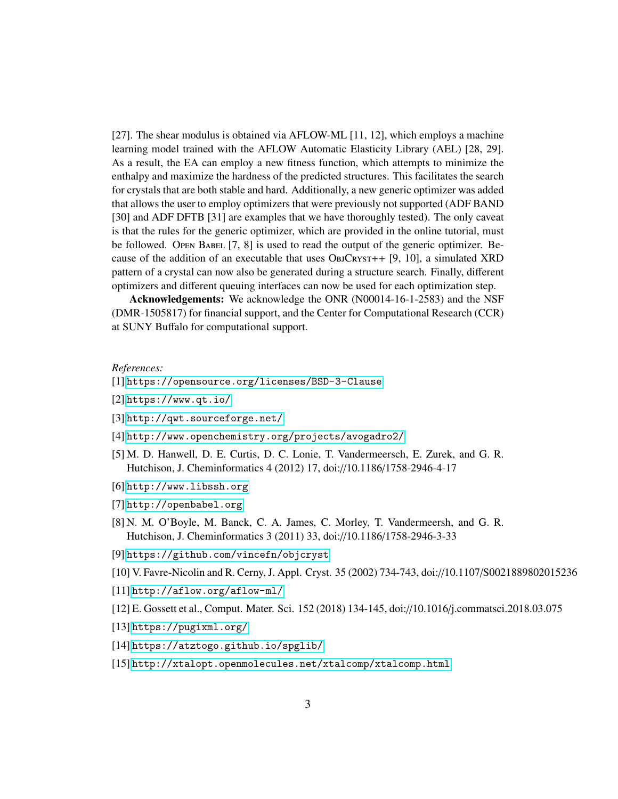[27]. The shear modulus is obtained via AFLOW-ML [11, 12], which employs a machine learning model trained with the AFLOW Automatic Elasticity Library (AEL) [28, 29]. As a result, the EA can employ a new fitness function, which attempts to minimize the enthalpy and maximize the hardness of the predicted structures. This facilitates the search for crystals that are both stable and hard. Additionally, a new generic optimizer was added that allows the user to employ optimizers that were previously not supported (ADF BAND [30] and ADF DFTB [31] are examples that we have thoroughly tested). The only caveat is that the rules for the generic optimizer, which are provided in the online tutorial, must be followed. Open BABEL [7, 8] is used to read the output of the generic optimizer. Because of the addition of an executable that uses  $O_{BJC>RYST++}$  [9, 10], a simulated XRD pattern of a crystal can now also be generated during a structure search. Finally, different optimizers and different queuing interfaces can now be used for each optimization step.

Acknowledgements: We acknowledge the ONR (N00014-16-1-2583) and the NSF (DMR-1505817) for financial support, and the Center for Computational Research (CCR) at SUNY Buffalo for computational support.

### *References:*

### [1] <https://opensource.org/licenses/BSD-3-Clause>

- [2] <https://www.qt.io/>
- [3] <http://qwt.sourceforge.net/>
- [4] <http://www.openchemistry.org/projects/avogadro2/>
- [5] M. D. Hanwell, D. E. Curtis, D. C. Lonie, T. Vandermeersch, E. Zurek, and G. R. Hutchison, J. Cheminformatics 4 (2012) 17, doi://10.1186/1758-2946-4-17
- [6] <http://www.libssh.org>
- [7] <http://openbabel.org>
- [8] N. M. O'Boyle, M. Banck, C. A. James, C. Morley, T. Vandermeersh, and G. R. Hutchison, J. Cheminformatics 3 (2011) 33, doi://10.1186/1758-2946-3-33
- [9] <https://github.com/vincefn/objcryst>
- [10] V. Favre-Nicolin and R. Cerny, J. Appl. Cryst. 35 (2002) 734-743, doi://10.1107/S0021889802015236
- [11] <http://aflow.org/aflow-ml/>
- [12] E. Gossett et al., Comput. Mater. Sci. 152 (2018) 134-145, doi://10.1016/j.commatsci.2018.03.075
- [13] <https://pugixml.org/>
- [14] <https://atztogo.github.io/spglib/>
- [15] <http://xtalopt.openmolecules.net/xtalcomp/xtalcomp.html>